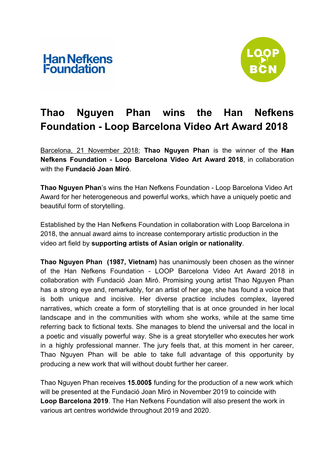



# **Thao Nguyen Phan wins the Han Nefkens Foundation - Loop Barcelona Video Art Award 2018**

Barcelona, 21 November 2018: **Thao Nguyen Phan** is the winner of the **Han Nefkens Foundation - Loop Barcelona Video Art Award 2018**, in collaboration with the **Fundació Joan Miró**.

**Thao Nguyen Phan**'s wins the Han Nefkens Foundation - Loop Barcelona Video Art Award for her heterogeneous and powerful works, which have a uniquely poetic and beautiful form of storytelling.

Established by the Han Nefkens Foundation in collaboration with Loop Barcelona in 2018, the annual award aims to increase contemporary artistic production in the video art field by **supporting artists of Asian origin or nationality**.

**Thao Nguyen Phan (1987, Vietnam)** has unanimously been chosen as the winner of the Han Nefkens Foundation - LOOP Barcelona Video Art Award 2018 in collaboration with Fundació Joan Miró. Promising young artist Thao Nguyen Phan has a strong eye and, remarkably, for an artist of her age, she has found a voice that is both unique and incisive. Her diverse practice includes complex, layered narratives, which create a form of storytelling that is at once grounded in her local landscape and in the communities with whom she works, while at the same time referring back to fictional texts. She manages to blend the universal and the local in a poetic and visually powerful way. She is a great storyteller who executes her work in a highly professional manner. The jury feels that, at this moment in her career, Thao Nguyen Phan will be able to take full advantage of this opportunity by producing a new work that will without doubt further her career.

Thao Nguyen Phan receives **15.000\$** funding for the production of a new work which will be presented at the Fundació Joan Miró in November 2019 to coincide with **Loop Barcelona 2019**. The Han Nefkens Foundation will also present the work in various art centres worldwide throughout 2019 and 2020.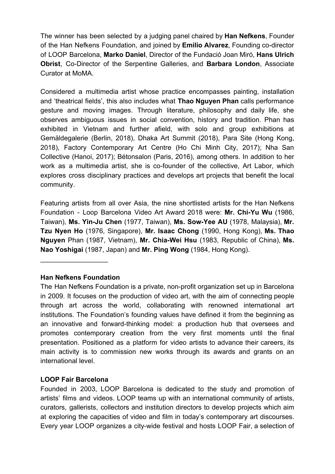The winner has been selected by a judging panel chaired by **Han Nefkens**, Founder of the Han Nefkens Foundation, and joined by **Emilio Alvarez**, Founding co-director of LOOP Barcelona, **Marko Daniel**, Director of the Fundació Joan Miró, **Hans Ulrich Obrist**, Co-Director of the Serpentine Galleries, and **Barbara London**, Associate Curator at MoMA.

Considered a multimedia artist whose practice encompasses painting, installation and 'theatrical fields', this also includes what **Thao Nguyen Phan** calls performance gesture and moving images. Through literature, philosophy and daily life, she observes ambiguous issues in social convention, history and tradition. Phan has exhibited in Vietnam and further afield, with solo and group exhibitions at Gemäldegalerie (Berlin, 2018), Dhaka Art Summit (2018), Para Site (Hong Kong, 2018), Factory Contemporary Art Centre (Ho Chi Minh City, 2017); Nha San Collective (Hanoi, 2017); Bétonsalon (Paris, 2016), among others. In addition to her work as a multimedia artist, she is co-founder of the collective, Art Labor, which explores cross disciplinary practices and develops art projects that benefit the local community.

Featuring artists from all over Asia, the nine shortlisted artists for the Han Nefkens Foundation - Loop Barcelona Video Art Award 2018 were: **Mr. Chi-Yu Wu** (1986, Taiwan), **Ms. Yin-Ju Chen** (1977, Taiwan), **Ms. Sow-Yee AU** (1978, Malaysia), **Mr. Tzu Nyen Ho** (1976, Singapore), **Mr. Isaac Chong** (1990, Hong Kong), **Ms. Thao Nguyen** Phan (1987, Vietnam), **Mr. Chia-Wei Hsu** (1983, Republic of China), **Ms. Nao Yoshigai** (1987, Japan) and **Mr. Ping Wong** (1984, Hong Kong).

## **Han Nefkens Foundation**

 $\_$ 

The Han Nefkens Foundation is a private, non-profit organization set up in Barcelona in 2009. It focuses on the production of video art, with the aim of connecting people through art across the world, collaborating with renowned international art institutions. The Foundation's founding values have defined it from the beginning as an innovative and forward-thinking model: a production hub that oversees and promotes contemporary creation from the very first moments until the final presentation. Positioned as a platform for video artists to advance their careers, its main activity is to commission new works through its awards and grants on an international level.

## **LOOP Fair Barcelona**

Founded in 2003, LOOP Barcelona is dedicated to the study and promotion of artists' films and videos. LOOP teams up with an international community of artists, curators, gallerists, collectors and institution directors to develop projects which aim at exploring the capacities of video and film in today's contemporary art discourses. Every year LOOP organizes a city-wide festival and hosts LOOP Fair, a selection of